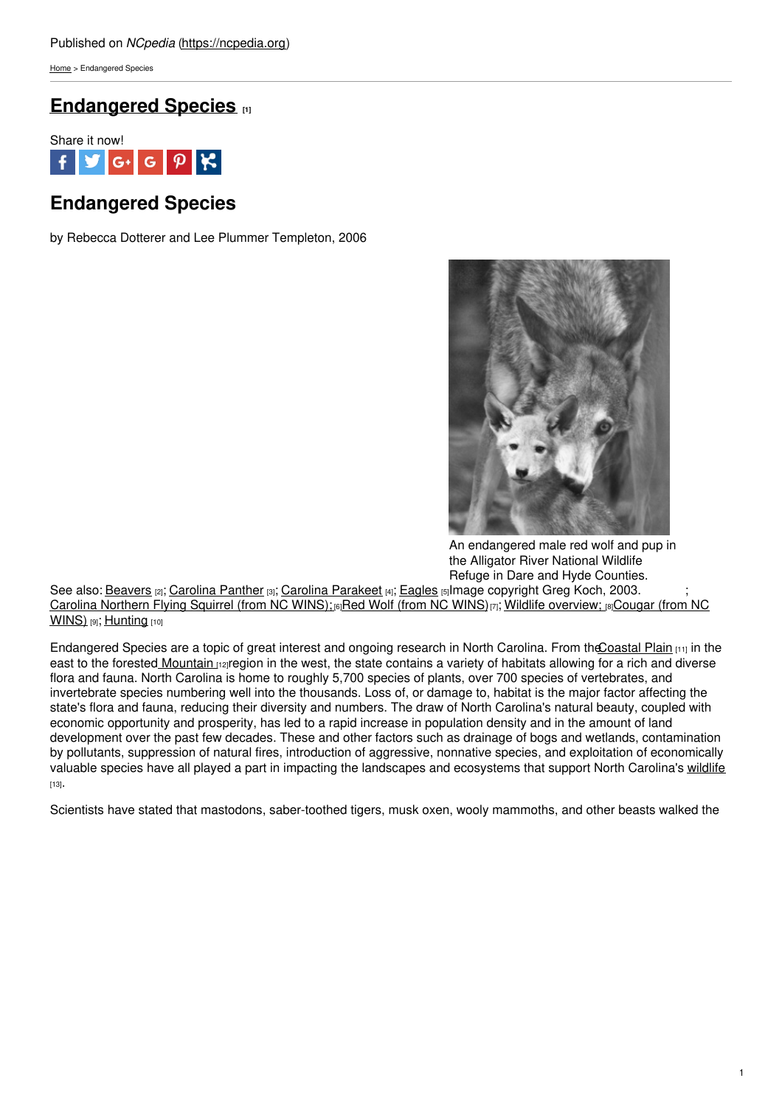[Home](https://ncpedia.org/) > Endangered Species

## **[Endangered](https://ncpedia.org/endangered-species) Species [1]**



# **Endangered Species**

by Rebecca Dotterer and Lee Plummer Templeton, 2006



An endangered male red wolf and pup in the Alligator River National Wildlife Refuge in Dare and Hyde Counties.

See also: <u>[Beavers](https://ncpedia.org/beavers) വ; [Carolina](https://ncpedia.org/carolina-panther) Panther வ; Carolina [Parakeet](https://ncpedia.org/carolina-parakeet) வ; [Eagles](https://ncpedia.org/eagles) ந</u>lmage copyright Greg Koch, 2003. ; Carolina [Northern](https://ncpedia.org/carolina-northern-flying-squirrel) Flying Squirrel (from NC [WINS\)](https://ncpedia.org/red-wolf-nc-wins);<sup>[6]</sup>Red Wolf (from NC WINS)<sub>[7]</sub>; Wildlife [overview;](https://ncpedia.org/cougar-nc-wins) [8]Cougar (from NC **WINS**) [9]; [Hunting](https://ncpedia.org/hunting) [10]

Endangered Species are a topic of great interest and ongoing research in North Carolina. From the Coastal Plain  $_{[11]}$  in the east to the forested [Mountain](https://ncpedia.org/our-state-geography-snap-mountain) rapregion in the west, the state contains a variety of habitats allowing for a rich and diverse flora and fauna. North Carolina is home to roughly 5,700 species of plants, over 700 species of vertebrates, and invertebrate species numbering well into the thousands. Loss of, or damage to, habitat is the major factor affecting the state's flora and fauna, reducing their diversity and numbers. The draw of North Carolina's natural beauty, coupled with economic opportunity and prosperity, has led to a rapid increase in population density and in the amount of land development over the past few decades. These and other factors such as drainage of bogs and wetlands, contamination by pollutants, suppression of natural fires, introduction of aggressive, nonnative species, and exploitation of economically valuable species have all played a part in impacting the landscapes and ecosystems that support North Carolina's [wildlife](https://ncpedia.org/wildlife) [13].

Scientists have stated that mastodons, saber-toothed tigers, musk oxen, wooly mammoths, and other beasts walked the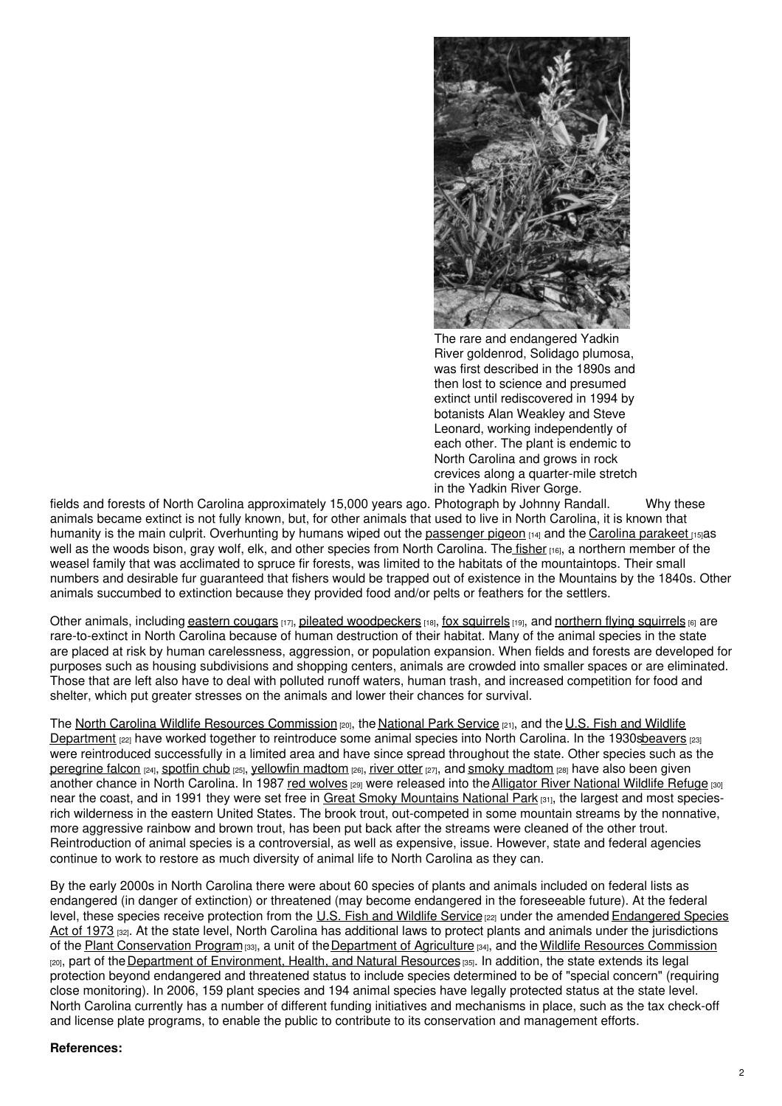

The rare and endangered Yadkin River goldenrod, Solidago plumosa, was first described in the 1890s and then lost to science and presumed extinct until rediscovered in 1994 by botanists Alan Weakley and Steve Leonard, working independently of each other. The plant is endemic to North Carolina and grows in rock crevices along a quarter-mile stretch in the Yadkin River Gorge.

fields and forests of North Carolina approximately 15,000 years ago. Photograph by Johnny Randall. Why these animals became extinct is not fully known, but, for other animals that used to live in North Carolina, it is known that humanity is the main culprit. Overhunting by humans wiped out the [passenger](http://www.passengerpigeon.org/states/NorthCarolina.html) pigeon [14] and the Carolina [parakeet](http://www.birds.cornell.edu/AllAboutBirds/conservation/extinctions/carolina_parakeet) [15] as well as the woods bison, gray wolf, elk, and other species from North Carolina. The [fisher](http://www.defenders.org/fisher/basic-facts) [16], a northern member of the weasel family that was acclimated to spruce fir forests, was limited to the habitats of the mountaintops. Their small numbers and desirable fur guaranteed that fishers would be trapped out of existence in the Mountains by the 1840s. Other animals succumbed to extinction because they provided food and/or pelts or feathers for the settlers.

Other animals, including eastern [cougars](http://www.easterncougar.org/) [17], pileated [woodpeckers](http://www.allaboutbirds.org/guide/pileated_woodpecker/lifehistory) [18], fox [squirrels](https://ncpedia.org/fox-squirrel-nc-wins) [19], and [northern](https://ncpedia.org/carolina-northern-flying-squirrel) flying squirrels [6] are rare-to-extinct in North Carolina because of human destruction of their habitat. Many of the animal species in the state are placed at risk by human carelessness, aggression, or population expansion. When fields and forests are developed for purposes such as housing subdivisions and shopping centers, animals are crowded into smaller spaces or are eliminated. Those that are left also have to deal with polluted runoff waters, human trash, and increased competition for food and shelter, which put greater stresses on the animals and lower their chances for survival.

The North Carolina Wildlife Resources [Commission](https://www.ncwildlife.org/) [20], the [National](https://www.nps.gov/index.htm) Park Service [21], and the U.S. Fish and Wildlife Department [22] have worked together to reintroduce some animal species into North Carolina. In the [1930sbeaver](http://www.fws.gov/)[s](https://ncpedia.org/beaver-nc-wins) [23] were reintroduced successfully in a limited area and have since spread throughout the state. Other species such as the [peregrine](http://www.allaboutbirds.org/guide/Peregrine_Falcon/id) falcon [24], [spotfin](http://www.fws.gov/nc-es/fish/spotfinch.html) chub [25], [yellowfin](http://www.biologicaldiversity.org/campaigns/esa_works/profile_pages/YellowfinMadtom.html) madtom [26], [river](http://animals.nationalgeographic.com/animals/mammals/american-river-otter/) otter [27], and smoky [madtom](http://www.fws.gov/ecos/ajax/docs/life_histories/E02C.html) [28] have also been given another chance in North Carolina. In 1987 red [wolves](http://www.fws.gov/redwolf/) [29] were released into the Alligator River [National](http://www.fws.gov/alligatorriver/) Wildlife Refuge [30] near the coast, and in 1991 they were set free in Great Smoky [Mountains](https://ncpedia.org/great-smoky-mountains-national-park) National Park [31], the largest and most speciesrich wilderness in the eastern United States. The brook trout, out-competed in some mountain streams by the nonnative, more aggressive rainbow and brown trout, has been put back after the streams were cleaned of the other trout. Reintroduction of animal species is a controversial, as well as expensive, issue. However, state and federal agencies continue to work to restore as much diversity of animal life to North Carolina as they can.

By the early 2000s in North Carolina there were about 60 species of plants and animals included on federal lists as endangered (in danger of extinction) or threatened (may become endangered in the foreseeable future). At the federal level, these species receive protection from the U.S. Fish and [Wildlife](http://www.fws.gov/) Service [22] under the amended [Endangered](http://www.fws.gov/laws/lawsdigest/esact.html) Species Act of 1973 [32]. At the state level, North Carolina has additional laws to protect plants and animals under the jurisdictions of the Plant [Conservation](http://www.ncagr.gov/plantindustry/plant/plantconserve/index.htm) Program [33], a unit of the [Department](http://www.ncagr.gov/) of Agriculture [34], and the Wildlife Resources [Commission](https://www.ncwildlife.org/) [20], part of the Department of [Environment,](http://portal.ncdenr.org/web/guest) Health, and Natural Resources [35]. In addition, the state extends its legal protection beyond endangered and threatened status to include species determined to be of "special concern" (requiring close monitoring). In 2006, 159 plant species and 194 animal species have legally protected status at the state level. North Carolina currently has a number of different funding initiatives and mechanisms in place, such as the tax check-off and license plate programs, to enable the public to contribute to its conservation and management efforts.

### **References:**